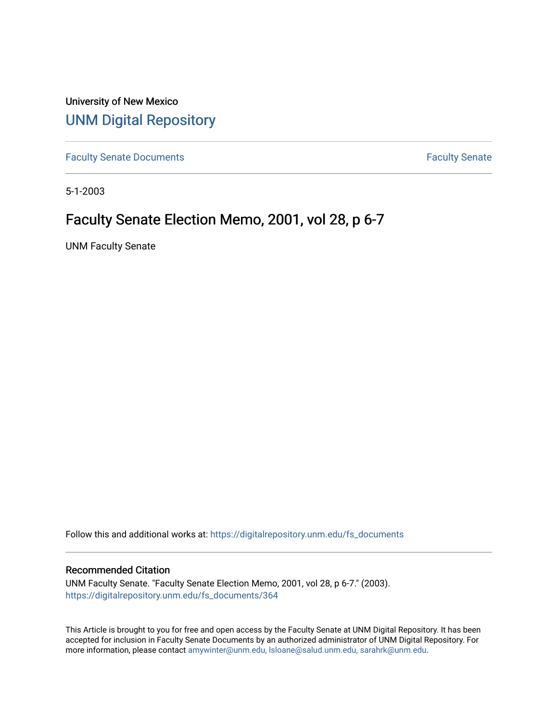University of New Mexico [UNM Digital Repository](https://digitalrepository.unm.edu/) 

[Faculty Senate Documents](https://digitalrepository.unm.edu/fs_documents) **Faculty** Senate **Faculty** Senate

5-1-2003

# Faculty Senate Election Memo, 2001, vol 28, p 6-7

UNM Faculty Senate

Follow this and additional works at: [https://digitalrepository.unm.edu/fs\\_documents](https://digitalrepository.unm.edu/fs_documents?utm_source=digitalrepository.unm.edu%2Ffs_documents%2F364&utm_medium=PDF&utm_campaign=PDFCoverPages)

### Recommended Citation

UNM Faculty Senate. "Faculty Senate Election Memo, 2001, vol 28, p 6-7." (2003). [https://digitalrepository.unm.edu/fs\\_documents/364](https://digitalrepository.unm.edu/fs_documents/364?utm_source=digitalrepository.unm.edu%2Ffs_documents%2F364&utm_medium=PDF&utm_campaign=PDFCoverPages)

This Article is brought to you for free and open access by the Faculty Senate at UNM Digital Repository. It has been accepted for inclusion in Faculty Senate Documents by an authorized administrator of UNM Digital Repository. For more information, please contact [amywinter@unm.edu, lsloane@salud.unm.edu, sarahrk@unm.edu](mailto:amywinter@unm.edu,%20lsloane@salud.unm.edu,%20sarahrk@unm.edu).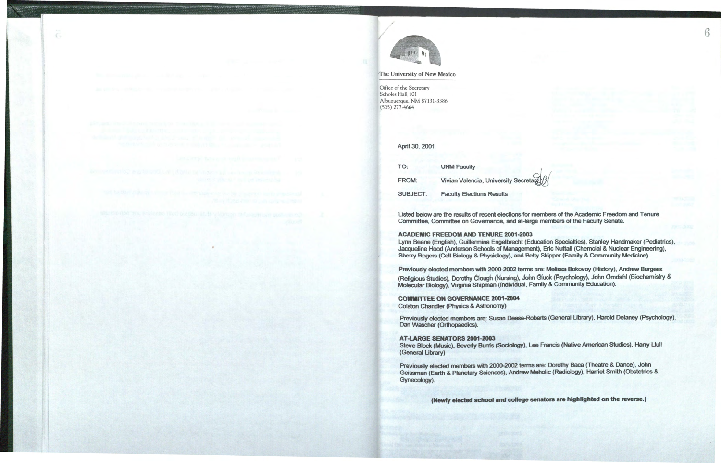

### 'The University of New Mexico

Office of the Secretary Scholes Hall 101 Albuquerque, NM 87131-3386 (505) 277-4664

## April 30, 2001

| TO:             | <b>UNM Faculty</b>      |  |
|-----------------|-------------------------|--|
| FROM:           | <b>Vivian Valencia</b>  |  |
| <b>SUBJECT:</b> | <b>Faculty Election</b> |  |

Listed below are the results of recent elections for members of the Academic Freedom and Tenure Committee, Committee on Governance, and at-large members of the Faculty Senate.

**ACADEMIC FREEDOM AND TENURE 2001-2003**  Lynn Beene (English), Guillermina Engelbrecht (Education Specialties), Stanley Handmaker (Pediatrics), Jacqueline Hood (Anderson Schools of **Management),** Eric Nuttall (Chemcial & Nuclear Engineering), Sherry Rogers (Cell Biology & **Physiology), and** Betty Skipper (Family & Community Medicine)

Previously elected members with 2000-2002 terms are: Melissa Bokovoy (History), Andrew Burgess (Religious Studies), Dorothy Clough (Nursing), John Gluck (Psychology), John Omdahl (Biochemistry &. Molecular Biology), Virginia Shipman (individual, Family & Community Education).

**COMMITTEE ON GOVERNANCE 2001-2004**  Colston Chandler (Physics & **Astronomy)** 

**AT-LARGE SENATORS 2001-2003**  (General Library)

Steve Block (Music), Beverly Bunis **(Sociology),** Lee Francis (Native American Studies), Harry Llull

Previously elected members with 2000-2002 terms are: Dorothy Baca (Theatre & Dance), John Geissman (Earth & Planetary Sciences), Andrew Mehalic (Radiology), Harriet Smith (Obstetrics & 6

Gynecology).

**(Newly elected school and college senators are highlighted on the reverse.)** 

*University Secretare* 

ns Results

Previously elected members are: Susan Deese-Roberts (General Library), Harold Delaney (Psychology), Dan Wascher (Orthopaedics).